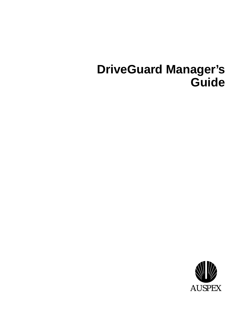## **DriveGuard Manager's Guide**

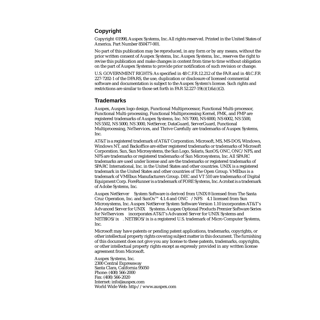#### **Copyright**

Copyright ©1998, Auspex Systems, Inc. All rights reserved. Printed in the United States of America. Part Number 850477-001.

No part of this publication may be reproduced, in any form or by any means, without the prior written consent of Auspex Systems, Inc. Auspex Systems, Inc., reserves the right to revise this publication and make changes in content from time to time without obligation on the part of Auspex Systems to provide prior notification of such revision or change.

U.S. GOVERNMENT RIGHTS: As specified in 48 C.F.R.12.212 of the FAR and in 48.C.F.R 227-7202-1 of the DFARS, the use, duplication or disclosure of licensed commercial software and documentation is subject to the Auspex System's license. Such rights and restrictions are similar to those set forth in FAR 52.227-19(c)(1)&(c)(2).

#### **Trademarks**

Auspex, Auspex logo design, Functional Multiprocessor, Functional Multi-processor, Functional Multi-processing, Functional Multiprocessing Kernel, FMK, and FMP are registered trademarks of Auspex Systems, Inc. NS 7000, NS 6000, NS 6002, NS 5500, NS 5502, NS 5000, NS 3000, NetServer, DataGuard, ServerGuard, Functional Multiprocessing, NeTservices, and Thrive Carefully are trademarks of Auspex Systems, Inc.

AT&T is a registered trademark of AT&T Corporation. Microsoft, MS, MS-DOS, Windows, Windows NT, and Backoffice are either registered trademarks or trademarks of Microsoft Corporation. Sun, Sun Microsystems, the Sun Logo, Solaris, SunOS, ONC, ONC/NFS, and NFS are trademarks or registered trademarks of Sun Microsystems, Inc. All SPARC trademarks are used under license and are the trademarks or registered trademarks of SPARC International, Inc. in the United States and other countries. UNIX is a registered trademark in the United States and other countries of The Open Group. VMEbus is a trademark of VMEbus Manufacturers Group. DEC and VT 510 are trademarks of Digital Equipment Corp. ForeRunner is a trademark of FORE Systems, Inc. Acrobat is a trademark of Adobe Systems, Inc.

Auspex NetServer<sup>TM</sup> System Software is derived from UNIX<sup>®</sup> licensed from The Santa Cruz Operation, Inc. and SunOs™ 4.1.4 and ONC™/NFS™ 4.1 licensed from Sun Microsystems, Inc. Auspex NetServer System Software Version 1.10 incorporates AT&T's Advanced Server for UNIX<sup>®</sup> Systems. Auspex Optional Products Premier Software Series for NeTservices™ incorporates AT&T's Advanced Server for UNIX Systems and NETBIOS/ix<sup>™</sup>. NETBIOS/ix is a registered U.S. trademark of Micro Computer Systems, Inc.

Microsoft may have patents or pending patent applications, trademarks, copyrights, or other intellectual property rights covering subject matter in this document. The furnishing of this document does not give you any license to these patents, trademarks, copyrights, or other intellectual property rights except as expressly provided in any written license agreement from Microsoft.

Auspex Systems, Inc. 2300 Central Expressway Santa Clara, California 95050 Phone: (408) 566-2000 Fax: (408) 566-2020 Internet: info@auspex.com World Wide Web: http://www.auspex.com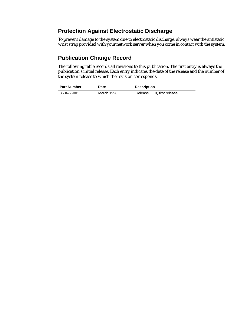#### **Protection Against Electrostatic Discharge**

To prevent damage to the system due to electrostatic discharge, always wear the antistatic wrist strap provided with your network server when you come in contact with the system.

#### **Publication Change Record**

The following table records all revisions to this publication. The first entry is always the publication's initial release. Each entry indicates the date of the release and the number of the system release to which the revision corresponds.

| <b>Part Number</b> | <b>Date</b> | <b>Description</b>          |
|--------------------|-------------|-----------------------------|
| 850477-001         | March 1998  | Release 1.10, first release |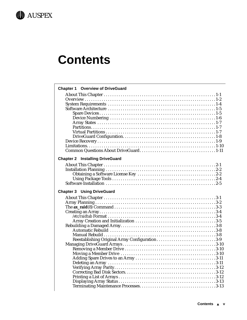

## **Contents**

| <b>Chapter 1 Overview of DriveGuard</b>        |  |
|------------------------------------------------|--|
|                                                |  |
|                                                |  |
|                                                |  |
|                                                |  |
|                                                |  |
|                                                |  |
|                                                |  |
|                                                |  |
|                                                |  |
|                                                |  |
|                                                |  |
|                                                |  |
|                                                |  |
| <b>Chapter 2 Installing DriveGuard</b>         |  |
|                                                |  |
|                                                |  |
|                                                |  |
|                                                |  |
|                                                |  |
| <b>Chapter 3 Using DriveGuard</b>              |  |
|                                                |  |
|                                                |  |
|                                                |  |
|                                                |  |
|                                                |  |
|                                                |  |
|                                                |  |
|                                                |  |
|                                                |  |
| Reestablishing Original Array Configuration3-9 |  |
|                                                |  |
|                                                |  |
|                                                |  |
|                                                |  |
|                                                |  |
|                                                |  |
|                                                |  |
|                                                |  |
|                                                |  |
|                                                |  |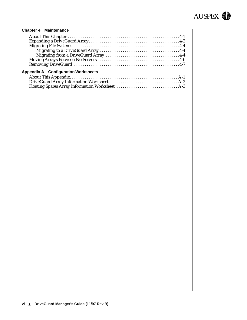

#### **[Chapter 4 Maintenance](#page-44-0)**

| <b>Appendix A</b> Configuration Worksheets |  |
|--------------------------------------------|--|
|                                            |  |

[DriveGuard Array Information Worksheet . . . . . . . . . . . . . . . . . . . . . . . . . . . . . . . . A-2](#page-53-0) [Floating Spares Array Information Worksheet . . . . . . . . . . . . . . . . . . . . . . . . . . . . . A-3](#page-54-0)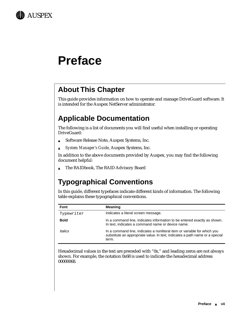

## **Preface**

## **About This Chapter**

This guide provides information on how to operate and manage DriveGuard software. It is intended for the Auspex NetServer administrator.

## **Applicable Documentation**

The following is a list of documents you will find useful when installing or operating DriveGuard:

- ▲ Software Release Note, Auspex Systems, Inc.
- ▲ *System Manager's Guide*, Auspex Systems, Inc.

In addition to the above documents provided by Auspex, you may find the following document helpful:

▲ The RAIDbook, The RAID Advisory Board

## **Typographical Conventions**

In this guide, different typefaces indicate different kinds of information. The following table explains these typographical conventions.

| Font        | <b>Meaning</b>                                                                                                                                                    |
|-------------|-------------------------------------------------------------------------------------------------------------------------------------------------------------------|
| Typewriter  | Indicates a literal screen message.                                                                                                                               |
| <b>Bold</b> | In a command line, indicates information to be entered exactly as shown.<br>In text, indicates a command name or device name.                                     |
| Italics     | In a command line, indicates a nonliteral item or variable for which you<br>substitute an appropriate value. In text, indicates a path name or a special<br>term. |

Hexadecimal values in the text are preceded with "0x," and leading zeros are not always shown. For example, the notation 0x68 is used to indicate the hexadecimal address 00000068.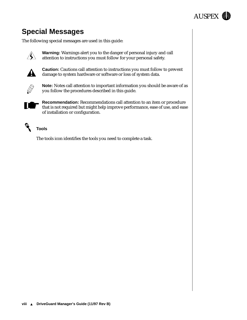

## **Special Messages**

The following special messages are used in this guide:



**Warning:** Warnings alert you to the danger of personal injury and call attention to instructions you must follow for your personal safety.



**Caution:** Cautions call attention to instructions you must follow to prevent damage to system hardware or software or loss of system data.



**Note:** Notes call attention to important information you should be aware of as you follow the procedures described in this guide.



**Recommendation:** Recommendations call attention to an item or procedure that is not required but might help improve performance, ease of use, and ease of installation or configuration.



#### **Tools**

The tools icon identifies the tools you need to complete a task.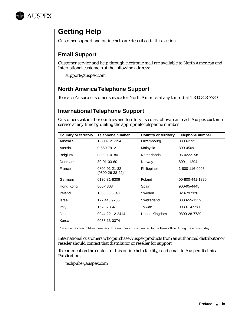

## **Getting Help**

Customer support and online help are described in this section.

#### **Email Support**

Customer service and help through electronic mail are available to North American and International customers at the following address:

support@auspex.com

#### **North America Telephone Support**

To reach Auspex customer service for North America at any time, dial 1-800-328-7739.

#### **International Telephone Support**

Customers within the countries and territory listed as follows can reach Auspex customer service at any time by dialing the appropriate telephone number.

| <b>Country or territory</b> | <b>Telephone number</b>                    | <b>Country or territory</b> | Telephone number |
|-----------------------------|--------------------------------------------|-----------------------------|------------------|
| Australia                   | 1-800-121-194                              | Luxembourg                  | 0800-2721        |
| Austria                     | 0-660-7912                                 | Malaysia                    | 800-4509         |
| <b>Belgium</b>              | 0800-1-0180                                | <b>Netherlands</b>          | 06-0222158       |
| Denmark                     | 80-01-03-60                                | Norway                      | 800-1-1294       |
| France                      | 0800-91-21-32<br>$(0800 - 26 - 38 - 22)^T$ | Philippines                 | 1-800-116-0005   |
| Germany                     | 0130-81-8306                               | Poland                      | 00-800-441-1220  |
| Hong Kong                   | 800-4803                                   | Spain                       | 900-95-4445      |
| Ireland                     | 1800 55 3343                               | Sweden                      | 020-797326       |
| Israel                      | 177 440 9285                               | Switzerland                 | 0800-55-1339     |
| Italy                       | 1678-73541                                 | Taiwan                      | 0080-14-9580     |
| Japan                       | 0044-22-12-2414                            | United Kingdom              | 0800-28-7739     |
| Korea                       | 0038-13-0374                               |                             |                  |

\* France has two toll-free numbers. The number in () is directed to the Paris office during the working day.

International customers who purchase Auspex products from an authorized distributor or reseller should contact that distributor or reseller for support

To comment on the content of this online help facility, send email to Auspex Technical Publications:

techpubs@auspex.com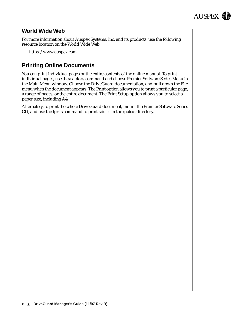

#### **World Wide Web**

For more information about Auspex Systems, Inc. and its products, use the following resource location on the World Wide Web:

http://www.auspex.com

#### **Printing Online Documents**

You can print individual pages or the entire contents of the online manual. To print individual pages, use the **ax\_docs** command and choose Premier Software Series Menu in the Main Menu window. Choose the DriveGuard documentation, and pull down the File menu when the document appears. The Print option allows you to print a particular page, a range of pages, or the entire document. The Print Setup option allows you to select a paper size, including A4.

Alternately, to print the whole DriveGuard document, mount the Premier Software Series CD, and use the lpr -s command to print *raid.ps* in the */psdocs* directory.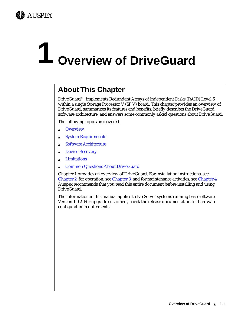<span id="page-10-0"></span>

## **1 Overview of DriveGuard**

## **About This Chapter**

DriveGuard™ implements Redundant Arrays of Independent Disks (RAID) Level 5 within a single Storage Processor V (SP V) board. This chapter provides an overview of DriveGuard, summarizes its features and benefits, briefly describes the DriveGuard software architecture, and answers some commonly asked questions about DriveGuard.

The following topics are covered:

- ▲ [Overview](#page-11-0)
- ▲ [System Requirements](#page-13-0)
- ▲ [Software Architecture](#page-14-0)
- ▲ [Device Recovery](#page-18-0)
- ▲ [Limitations](#page-19-0)
- ▲ [Common Questions About DriveGuard](#page-20-0)

Chapter 1 provides an overview of DriveGuard. For installation instructions, see [Chapter 2;](#page-22-0) for operation, see [Chapter 3;](#page-30-0) and for maintenance activities, see [Chapter 4.](#page-44-0) Auspex recommends that you read this entire document before installing and using DriveGuard.

The information in this manual applies to NetServer systems running base software Version 1.9.2. For upgrade customers, check the release documentation for hardware configuration requirements.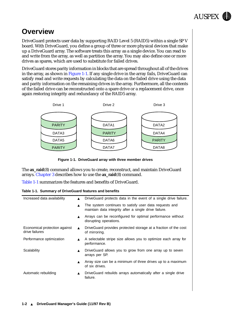

## <span id="page-11-0"></span>**Overview**

[DriveGuard protects user data by supporting RAID Level 5 \(RAID5\) within a single SP V](#page-14-0)  board. With DriveGuard, you define a group of three or more physical devices that make up a DriveGuard array. The software treats this array as a single device. You can read to and write from the array, as well as partition the array. You may also define one or more drives as spares, which are used to substitute for failed drives.

DriveGuard stores parity information in blocks that are spread throughout all of the drives in the array, as shown in Figure 1-1. If any single drive in the array fails, DriveGuard can satisfy read and write requests by calculating the data on the failed drive using the data and parity information on the remaining drives in the array. Furthermore, all the contents of the failed drive can be reconstructed onto a spare drive or a replacement drive, once again restoring integrity and redundancy of the RAID5 array.



**Figure 1-1. DriveGuard array with three member drives**

The **ax\_raid**(8) command allows you to create, reconstruct, and maintain DriveGuard arrays. [Chapter 3](#page-30-0) describes how to use the **ax\_raid**(8) command.

Table 1-1 summarizes the features and benefits of DriveGuard.

**Table 1-1. Summary of DriveGuard features and benefits** 

| $\blacktriangle$ | DriveGuard protects data in the event of a single drive failure.                                                |
|------------------|-----------------------------------------------------------------------------------------------------------------|
| $\blacktriangle$ | The system continues to satisfy user data requests and<br>maintain data integrity after a single drive failure. |
|                  | Arrays can be reconfigured for optimal performance without<br>disrupting operations.                            |
| $\blacktriangle$ | Drive Guard provides protected storage at a fraction of the cost<br>of mirroring.                               |
|                  | A selectable stripe size allows you to optimize each array for<br>performance.                                  |
|                  | DriveGuard allows you to grow from one array up to seven<br>arrays per SP.                                      |
|                  | Array size can be a minimum of three drives up to a maximum<br>of six drives.                                   |
|                  | DriveGuard rebuilds arrays automatically after a single drive<br>failure.                                       |
|                  |                                                                                                                 |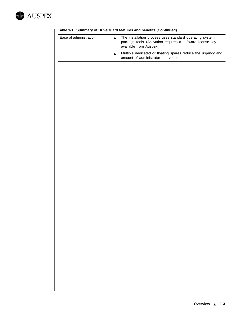

| Ease of administration | The installation process uses standard operating system<br>package tools. (Activation requires a software license key<br>available from Auspex.) |
|------------------------|--------------------------------------------------------------------------------------------------------------------------------------------------|
|                        | Multiple dedicated or floating spares reduce the urgency and<br>amount of administrator intervention.                                            |

#### **Table 1-1. Summary of DriveGuard features and benefits (Continued)**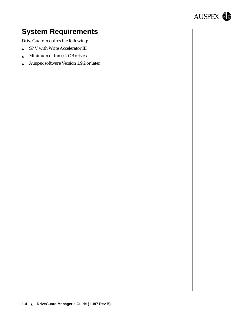

## <span id="page-13-0"></span>**System Requirements**

DriveGuard requires the following:

- ▲ SP V with Write Accelerator III
- ▲ Minimum of three 4-GB drives
- ▲ Auspex software Version 1.9.2 or later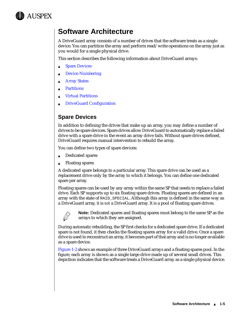<span id="page-14-0"></span>

### **Software Architecture**

A DriveGuard array consists of a number of drives that the software treats as a single device. You can partition the array and perform read/write operations on the array just as you would for a single physical drive.

This section describes the following information about DriveGuard arrays:

- **Spare Devices**
- **[Device Numbering](#page-15-0)**
- **[Array States](#page-16-0)**
- ▲ [Partitions](#page-16-0)
- **[Virtual Partitions](#page-16-0)**
- **[DriveGuard Configuration](#page-17-0)**

#### **Spare Devices**

In addition to defining the drives that make up an array, you may define a number of drives to be spare devices. Spare drives allow DriveGuard to automatically replace a failed drive with a spare drive in the event an array drive fails. Without spare drives defined, DriveGuard requires manual intervention to rebuild the array.

You can define two types of spare devices:

- ▲ Dedicated spares
- ▲ Floating spares

A dedicated spare belongs to a particular array. This spare drive can be used as a replacement drive only by the array to which it belongs. You can define one dedicated spare per array.

Floating spares can be used by any array within the same SP that needs to replace a failed drive. Each SP supports up to six floating spare drives. Floating spares are defined in an array with the state of RAID\_SPECIAL. Although this array is defined in the same way as a DriveGuard array, it is *not* a DriveGuard array. It is a pool of floating spare drives.



**Note:** Dedicated spares and floating spares must belong to the same SP as the arrays to which they are assigned.

During automatic rebuilding, the SP first checks for a dedicated spare drive. If a dedicated spare is not found, it then checks the floating spares array for a valid drive. Once a spare drive is used to reconstruct an array, it becomes part of that array and is no longer available as a spare device.

[Figure 1-2](#page-15-0) shows an example of three DriveGuard arrays and a floating spares pool. In the figure, each array is shown as a single large drive made up of several small drives. This depiction indicates that the software treats a DriveGuard array as a single physical device.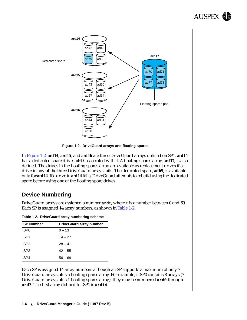

<span id="page-15-0"></span>

**Figure 1-2. DriveGuard arrays and floating spares**

In Figure 1-2, **ard14**, **ard15**, and **ard16** are three DriveGuard arrays defined on SP1. **ard14** has a dedicated spare drive, **ad69**, associated with it. A floating spares array, **ard17**, is also defined. The drives in the floating spares array are available as replacement drives if a drive in any of the three DriveGuard arrays fails. The dedicated spare, **ad69**, is available only for **ard14**. If a drive in **ard14** fails, DriveGuard attempts to rebuild using the dedicated spare before using one of the floating spare drives.

#### **Device Numbering**

DriveGuard arrays are assigned a number **ard***x*, where *x* is a number between 0 and 69. Each SP is assigned 14 array numbers, as shown in Table 1-2.

|  | Table 1-2. DriveGuard array numbering scheme |  |  |  |
|--|----------------------------------------------|--|--|--|
|--|----------------------------------------------|--|--|--|

| <b>SP Number</b> | <b>DriveGuard array number</b> |
|------------------|--------------------------------|
| SP <sub>0</sub>  | $0 - 13$                       |
| SP <sub>1</sub>  | $14 - 27$                      |
| SP <sub>2</sub>  | $28 - 41$                      |
| SP <sub>3</sub>  | $42 - 55$                      |
| SP <sub>4</sub>  | $56 - 69$                      |

Each SP is assigned 14 array numbers although an SP supports a maximum of only 7 DriveGuard arrays plus a floating spares array. For example, if SP0 contains 8 arrays (7 DriveGuard arrays plus 1 floating spares array), they may be numbered **ard0** through **ard7**. The first array defined for SP1 is **ard14**.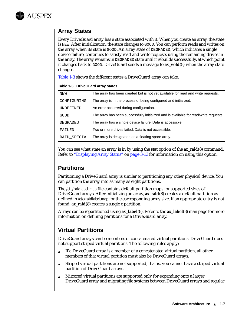<span id="page-16-0"></span>

#### **Array States**

Every DriveGuard array has a state associated with it. When you create an array, the state is NEW. After initialization, the state changes to GOOD. You can perform reads and writes on the array when its state is GOOD. An array state of DEGRADED, which indicates a single device failure, continues to satisfy read and write requests using the remaining drives in the array. The array remains in DEGRADED state until it rebuilds successfully, at which point it changes back to GOOD. DriveGuard sends a message to **ax\_vold**(8) when the array state changes.

Table 1-3 shows the different states a DriveGuard array can take.

|  | Table 1-3. DriveGuard array states |  |  |
|--|------------------------------------|--|--|
|--|------------------------------------|--|--|

| NEW              | The array has been created but is not yet available for read and write requests.      |
|------------------|---------------------------------------------------------------------------------------|
| CONFIGURING      | The array is in the process of being configured and initialized.                      |
| <b>UNDEFINED</b> | An error occurred during configuration.                                               |
| GOOD             | The array has been successfully initialized and is available for read/write requests. |
| DEGRADED         | The array has a single device failure. Data is accessible.                            |
| FAILED           | Two or more drives failed. Data is not accessible.                                    |
| RAID SPECIAL     | The array is designated as a floating spare array.                                    |
|                  |                                                                                       |

You can see what state an array is in by using the **stat** option of the **ax** raid(8) command. Refer to ["Displaying Array Status"](#page-42-0) on [page 3-13](#page-42-0) for information on using this option.

#### **Partitions**

Partitioning a DriveGuard array is similar to partitioning any other physical device. You can partition the array into as many as eight partitions.

The */etc/raidlabel.map* file contains default partition maps for supported sizes of DriveGuard arrays. After initializing an array, **ax\_raid**(8) creates a default partition as defined in */etc/raidlabel.map* for the corresponding array size. If an appropriate entry is not found, **ax\_raid**(8) creates a single c partition.

Arrays can be repartitioned using **ax\_label**(8). Refer to the **ax\_label**(8) man page for more information on defining partitions for a DriveGuard array.

#### **Virtual Partitions**

DriveGuard arrays can be members of concatenated virtual partitions. DriveGuard does not support striped virtual partitions. The following rules apply:

- ▲ If a DriveGuard array is a member of a concatenated virtual partition, all other members of that virtual partition must also be DriveGuard arrays.
- ▲ Striped virtual partitions are not supported; that is, you cannot have a striped virtual partition of DriveGuard arrays.
- ▲ Mirrored virtual partitions are supported only for expanding onto a larger DriveGuard array and migrating file systems between DriveGuard arrays and regular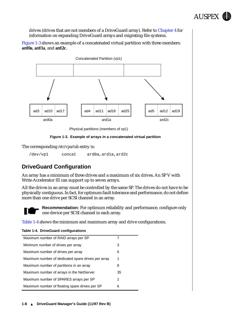

<span id="page-17-0"></span>drives (drives that are not members of a DriveGuard array). Refer to [Chapter 4](#page-44-0) for information on expanding DriveGuard arrays and migrating file systems.

Figure 1-3 shows an example of a concatenated virtual partition with three members: **ard0a**, **ard1a**, and **ard2c**.



Physical partitions (members of vp1)



The corresponding */etc/vpartab* entry is:

/dev/vp1 concat ard0a,ard1a,ard2c

#### **DriveGuard Configuration**

An array has a minimum of three drives and a maximum of six drives. An SP V with Write Accelerator III can support up to seven arrays.

All the drives in an array must be controlled by the same SP. The drives do not have to be physically contiguous. In fact, for optimum fault tolerance and performance, do not define more than one drive per SCSI channel in an array.



**Recommendation:** For optimum reliability and performance, configure only one device per SCSI channel in each array.

Table 1-4 shows the minimum and maximum array and drive configurations.

#### **Table 1-4. DriveGuard configurations**

| Maximum number of RAID arrays per SP               |    |
|----------------------------------------------------|----|
| Minimum number of drives per array                 | 3  |
| Maximum number of drives per array                 | 6  |
| Maximum number of dedicated spare drives per array | 1  |
| Maximum number of partitions in an array           | 8  |
| Maximum number of arrays in the NetServer          | 35 |
| Maximum number of SPARES arrays per SP             | 1  |
| Maximum number of floating spare drives per SP     | 6  |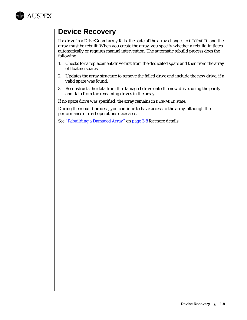<span id="page-18-0"></span>

## **Device Recovery**

If a drive in a DriveGuard array fails, the state of the array changes to DEGRADED and the array must be rebuilt. When you create the array, you specify whether a rebuild initiates automatically or requires manual intervention. The automatic rebuild process does the following:

- 1. Checks for a replacement drive first from the dedicated spare and then from the array of floating spares.
- 2. Updates the array structure to remove the failed drive and include the new drive, if a valid spare was found.
- 3. Reconstructs the data from the damaged drive onto the new drive, using the parity and data from the remaining drives in the array.

If no spare drive was specified, the array remains in DEGRADED state.

During the rebuild process, you continue to have access to the array, although the performance of read operations decreases.

See ["Rebuilding a Damaged Array"](#page-37-0) on [page 3-8](#page-37-0) for more details.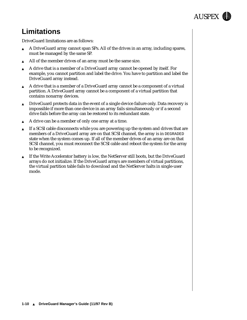

## <span id="page-19-0"></span>**Limitations**

DriveGuard limitations are as follows:

- ▲ A DriveGuard array cannot span SPs. All of the drives in an array, including spares, must be managed by the same SP.
- ▲ All of the member drives of an array must be the same size.
- ▲ A drive that is a member of a DriveGuard array cannot be opened by itself. For example, you cannot partition and label the drive. You have to partition and label the DriveGuard array instead.
- ▲ A drive that is a member of a DriveGuard array cannot be a component of a virtual partition. A DriveGuard array cannot be a component of a virtual partition that contains nonarray devices.
- ▲ DriveGuard protects data in the event of a single device failure only. Data recovery is impossible if more than one device in an array fails simultaneously or if a second drive fails before the array can be restored to its redundant state.
- ▲ A drive can be a member of only one array at a time.
- If a SCSI cable disconnects while you are powering up the system and drives that are members of a DriveGuard array are on that SCSI channel, the array is in DEGRADED state when the system comes up. If all of the member drives of an array are on that SCSI channel, you must reconnect the SCSI cable and reboot the system for the array to be recognized.
- If the Write Accelerator battery is low, the NetServer still boots, but the DriveGuard arrays do not initialize. If the DriveGuard arrays are members of virtual partitions, the virtual partition table fails to download and the NetServer halts in single-user mode.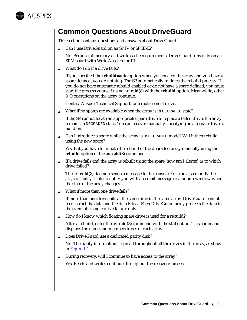<span id="page-20-0"></span>

### **Common Questions About DriveGuard**

This section contains questions and answers about DriveGuard.

▲ Can I use DriveGuard on an SP IV or SP III-E?

No. Because of memory and write cache requirements, DriveGuard runs only on an SP V board with Write Accelerator III.

▲ What do I do if a drive fails?

If you specified the **rebuild=auto** option when you created the array and you have a spare defined, you do nothing. The SP automatically initiates the rebuild process. If you do not have automatic rebuild enabled or do not have a spare defined, you must start the process yourself using **ax\_raid**(8) with the **rebuild** option. Meanwhile, other I/O operations on the array continue.

Contact Auspex Technical Support for a replacement drive.

▲ What if no spares are available when the array is in DEGRADED state?

If the SP cannot locate an appropriate spare drive to replace a failed drive, the array remains in DEGRADED state. You can recover manually, specifying an alternate drive to build on.

 $\triangle$  Can I introduce a spare while the array is in DEGRADED mode? Will it then rebuild using the new spare?

Yes. But you have to initiate the rebuild of the degraded array manually using the **rebuild** option of the **ax\_raid**(8) command.

▲ If a drive fails and the array is rebuilt using the spare, how am I alerted as to which drive failed?

The **ax\_vold**(8) daemon sends a message to the console. You can also modify the */etc/raid\_notify.sh* file to notify you with an email message or a popup window when the state of the array changes.

▲ What if more than one drive fails?

If more than one drive fails at the same time in the same array, DriveGuard cannot reconstruct the data and the data is lost. Each DriveGuard array protects the data in the event of a single drive failure only.

 $\triangle$  How do I know which floating spare drive is used for a rebuild?

After a rebuild, enter the **ax\_raid**(8) command with the **stat** option. This command displays the name and member drives of each array.

▲ Does DriveGuard use a dedicated parity disk?

No. The parity information is spread throughout all the drives in the array, as shown in [Figure 1-1](#page-11-0).

▲ During recovery, will I continue to have access to the array?

Yes. Reads and writes continue throughout the recovery process.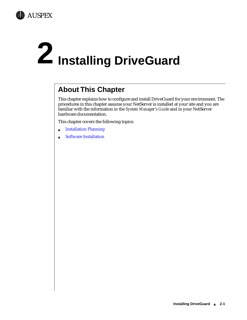<span id="page-22-0"></span>

# **2 Installing DriveGuard**

## **About This Chapter**

This chapter explains how to configure and install DriveGuard for your environment. The procedures in this chapter assume your NetServer is installed at your site and you are familiar with the information in the *System Manager's Guide* and in your NetServer hardware documentation.

This chapter covers the following topics:

- ▲ [Installation Planning](#page-23-0)
- ▲ [Software Installation](#page-26-0)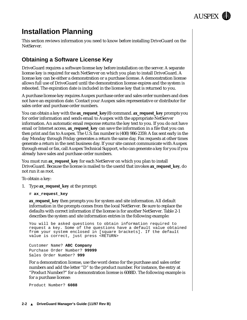

## <span id="page-23-0"></span>**Installation Planning**

This section reviews information you need to know before installing DriveGuard on the NetServer.

#### **Obtaining a Software License Key**

DriveGuard requires a software license key before installation on the server. A separate license key is required for each NetServer on which you plan to install DriveGuard. A license key can be either a demonstration or a purchase license. A demonstration license allows full use of DriveGuard until the demonstration license expires and the system is rebooted. The expiration date is included in the license key that is returned to you.

A purchase license key requires Auspex purchase order and sales order numbers and does not have an expiration date. Contact your Auspex sales representative or distributor for sales order and purchase order numbers.

You can obtain a key with the **ax\_request\_key**(8) command. **ax\_request\_key** prompts you for order information and sends email to Auspex with the appropriate NetServer information. An automatic email response returns the key text to you. If you do not have email or Internet access, **ax\_request\_key** can save the information in a file that you can then print and fax to Auspex. The U.S. fax number is (408) 986-2359. A fax sent early in the day Monday through Friday generates a return the same day. Fax requests at other times generate a return in the next business day. If your site cannot communicate with Auspex through email or fax, call Auspex Technical Support, who can generate a key for you if you already have sales and purchase order numbers.

You must run **ax\_request\_key** for each NetServer on which you plan to install DriveGuard. Because the license is mailed to the userid that invokes **ax\_request\_key**, do not run it as root.

To obtain a key:

- 1. Type **ax\_request\_key** at the prompt:
	- # **ax\_request\_key**

**ax\_request\_key** then prompts you for system and site information. All default information in the prompts comes from the local NetServer. Be sure to replace the defaults with correct information if the license is for another NetServer. Table 2-1 describes the system and site information entries in the following example:

You will be asked questions to obtain information required to request a key. Some of the questions have a default value obtained from your system enclosed in [square brackets]. If the default value is correct, just press <RETURN>

Customer Name? **ABC Company** Purchase Order Number? **99999** Sales Order Number? **999**

For a demonstration license, use the word demo for the purchase and sales order numbers and add the letter "D" to the product number. For instance, the entry at "Product Number?" for a demonstration license is 6088D. The following example is for a purchase license:

Product Number? **6088**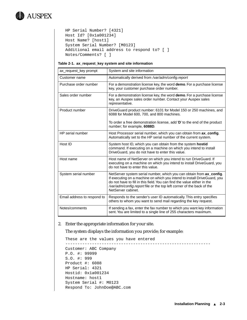

```
HP Serial Number? [4321] 
Host Id? [0x1a001234] 
Host Name? [host1] 
System Serial Number? [M0123] 
Additional email address to respond to? [ ]
Notes/Comments? [ ]
```
#### **Table 2-1. ax\_request\_key system and site information**

| ax request key prompt       | System and site information                                                                                                                                                                                                                                                                                                |
|-----------------------------|----------------------------------------------------------------------------------------------------------------------------------------------------------------------------------------------------------------------------------------------------------------------------------------------------------------------------|
| Customer name               | Automatically derived from /var/adm/config.report                                                                                                                                                                                                                                                                          |
| Purchase order number       | For a demonstration license key, the word demo. For a purchase license<br>key, your customer purchase order number.                                                                                                                                                                                                        |
| Sales order number          | For a demonstration license key, the word <b>demo</b> . For a purchase license<br>key, an Auspex sales order number. Contact your Auspex sales<br>representative.                                                                                                                                                          |
| Product number              | DriveGuard product number: 6101 for Model 150 or 250 machines, and<br>6088 for Model 600, 700, and 800 machines.                                                                                                                                                                                                           |
|                             | To order a free demonstration license, add 'D' to the end of the product<br>number; for example, 6088D.                                                                                                                                                                                                                    |
| HP serial number            | Host Processor serial number, which you can obtain from ax_config.<br>Automatically set to the HP serial number of the current system.                                                                                                                                                                                     |
| Host ID                     | System host ID, which you can obtain from the system hostid<br>command. If executing on a machine on which you intend to install<br>DriveGuard, you do not have to enter this value.                                                                                                                                       |
| Host name                   | Host name of NetServer on which you intend to run DriveGuard. If<br>executing on a machine on which you intend to install DriveGuard, you<br>do not have to enter this value.                                                                                                                                              |
| System serial number        | NetServer system serial number, which you can obtain from ax_config.<br>If executing on a machine on which you intend to install DriveGuard, you<br>do not have to fill in this field. You can find the value either in the<br>/var/adm/config.report file or the top left corner of the back of the<br>NetServer cabinet. |
| Email address to respond to | Responds to the sender's user ID automatically. This entry specifies<br>others to whom you want to send mail regarding the key request.                                                                                                                                                                                    |
| Notes/comments              | If sending a fax, enter the fax number to which you want key information<br>sent. You are limited to a single line of 255 characters maximum.                                                                                                                                                                              |

#### 2. Enter the appropriate information for your site.

The system displays the information you provide; for example:

```
These are the values you have entered
------------------------------------------------------------
Customer: ABC Company
P.O. #: 99999
S.O. #: 999
Product #: 6088
HP Serial: 4321
Hostid: 0x1a001234
Hostname: host1
System Serial #: M0123
Respond To: JohnDoe@ABC.com
```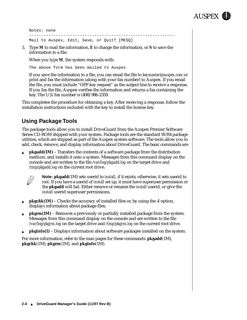

```
Notes: none
------------------------------------------------------------
Mail to Auspex, Edit, Save, or Quit? [MESQ]
```
3. Type **M** to mail the information, **E** to change the information, or **S** to save the information to a file.

When you type **M**, the system responds with:

The above form has been mailed to Auspex

If you save the information to a file, you can email the file to *keymaster@auspex.com* or print and fax the information (along with your fax number) to Auspex. If you email the file, you must include "OPF key request" as the subject line to receive a response. If you fax the file, Auspex verifies the information and returns a fax containing the key. The U.S. fax number is (408) 986-2359.

This completes the procedure for obtaining a key. After receiving a response, follow the installation instructions included with the key to install the license key.

#### **Using Package Tools**

The package tools allow you to install DriveGuard from the Auspex Premier Software Series CD-ROM shipped with your system. Package tools are the standard SVR4 package utilities, which are shipped as part of the Auspex system software. The tools allow you to add, check, remove, and display information about DriveGuard. The basic commands are:

**pkgadd(1M)** – Transfers the contents of a software package from the distribution medium, and installs it onto a system. Messages from this command display on the console and are written to the file */var/log/pkgadd.log* on the target drive and */tmp/pkgadd.log* on the current root drive.



**Note: pkgadd**(1M) sets userid to *install*, if it exists; otherwise, it sets userid to *root*. If you have a userid of *install* set up, it must have superuser permission or the **pkgadd** will fail. Either remove or rename the *install* userid, or give the *install* userid superuser permissions.

- **pkgchk(1M)** Checks the accuracy of installed files or, by using the **-l** option, displays information about package files.
- ▲ **pkgrm(1M)** Removes a previously or partially installed package from the system. Messages from this command display on the console and are written to the file */var/log/pkgrm.log* on the target drive and */tmp/pkgrm.log* on the current root drive.
- ▲ **pkginfo(1)** Displays information about software packages installed on the system.

For more information, refer to the man pages for these commands: **pkgadd**(1M), **pkgchk**(1M), **pkgrm**(1M), and **pkginfo**(1M).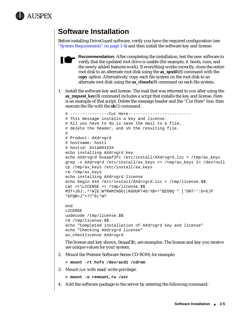<span id="page-26-0"></span>

## **Software Installation**

Before installing DriveGuard software, verify you have the required configuration (see ["System Requirements" on page 1-4](#page-13-0)) and then install the software key and license.



**Recommendation:** After completing the installation, test the new software to verify that the updated root drive is usable (for example, it boots, runs, and the newly added features work). If everything works correctly, clone the entire root disk to an alternate root disk using the **ax\_sputil**(8) command with the **copy** option. Alternatively, copy each file system on the root disk to an alternate root disk using the **ax\_clonefs**(8) command on each file system.

1. Install the software key and license. The mail that was returned to you after using the **ax\_request\_key**(8) command includes a script that installs the key and license. Here is an example of that script. Delete the message header and the "Cut Here" line, then execute the file with the **sh**(1) command.

```
# ----------------Cut Here--------------------------
# This message installs a key and license.
# All you have to do is save the mail to a file,
# delete the header, and sh the resulting file.
#
# Product: AXdrvgrd
# hostname: host1
# hostid: 0x1a001234
echo installing AXdrvgrd key
echo AXdrvgrd 0xaaaf3fc /etc/install/AXdrvgrd.lic > /tmp/ax_keys
grep -v AXdrvgrd /etc/install/ax_keys >> /tmp/ax_keys 2> /dev/null
cp /tmp/ax_keys /etc/install/ax_keys
rm /tmp/ax_keys
echo installing AXdrvgrd license
echo begin 644 /etc/install/AXdrvgrd.lic > /tmp/license.$$
cat <<\LICENSE >> /tmp/license.$$
M3T+J8J:,^!W]E:W?RAMI%GO((KGDUP74G!Y@+^*@ZO8Q " ['D%T!':D<G)P
*EFQB=J"+77"6(*W?
end
LICENSE
uudecode /tmp/license.$$
rm /tmp/license.$$
```

```
echo "Completed installation of AXdrvgrd key and license"
echo "Checking AXdrvgrd license"
ax_checklicense AXdrvgrd
```
The license and key shown, 0xaaaf3fc, are examples. The license and key you receive are unique values for your system.

2. Mount the Premier Software Series CD-ROM; for example:

```
# mount -rt hsfs /dev/acd1 /cdrom
```
3. Mount */usr* with read/write privilege:

```
# mount -o remount,rw /usr
```
4. Add the software package to the server by entering the following command: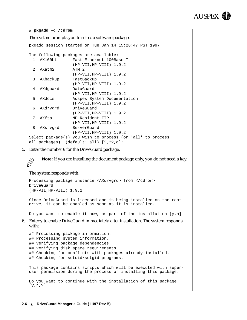

#### # **pkgadd -d /cdrom**

The system prompts you to select a software package. pkgadd session started on Tue Jan 14 15:28:47 PST 1997 The following packages are available: 1 AX100bt Fast Ethernet 100Base-T (HP-VII,HP-VIII) 1.9.2 2 AXatm2 ATM 2 (HP-VII,HP-VIII) 1.9.2 3 AXbackup FastBackup (HP-VII,HP-VIII) 1.9.2 4 AXdguard DataGuard (HP-VII,HP-VIII) 1.9.2 5 AXdocs Auspex System Documentation (HP-VII,HP-VIII) 1.9.2 6 AXdrvgrd DriveGuard (HP-VII,HP-VIII) 1.9.2 7 AXftp NP Resident FTP (HP-VII,HP-VIII) 1.9.2 8 AXsrvgrd ServerGuard (HP-VII,HP-VIII) 1.9.2 Select package(s) you wish to process (or 'all' to process all packages). (default: all) [?,??,q]:

5. Enter the number **6** for the DriveGuard package.

**Note:** If you are installing the document package only, you do not need a key.

#### The system responds with:

 $\bigotimes$ 

```
Processing package instance <AXdrvgrd> from </cdrom>
DriveGuard
(HP-VII,HP-VIII) 1.9.2
```
Since DriveGuard is licensed and is being installed on the root drive, it can be enabled as soon as it is installed.

Do you want to enable it now, as part of the installation  $[y,n]$ 

6. Enter **y** to enable DriveGuard immediately after installation. The system responds with:

```
## Processing package information.
## Processing system information.
## Verifying package dependencies.
## Verifying disk space requirements.
## Checking for conflicts with packages already installed.
## Checking for setuid/setgid programs.
```
This package contains scripts which will be executed with superuser permission during the process of installing this package.

Do you want to continue with the installation of this package [y,n,?]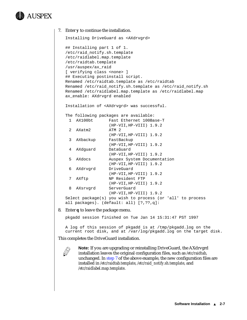## AUSPEX

```
7. Enter y to continue the installation.
  Installing DriveGuard as <AXdrvgrd>
  ## Installing part 1 of 1.
  /etc/raid_notify.sh.template
  /etc/raidlabel.map.template
  /etc/raidtab.template
  /usr/auspex/ax_raid
  [ verifying class <none> ]
  ## Executing postinstall script.
  Renamed /etc/raidtab.template as /etc/raidtab
  Renamed /etc/raid_notify.sh.template as /etc/raid_notify.sh
  Renamed /etc/raidlabel.map.template as /etc/raidlabel.map
  ax_enable: AXdrvgrd enabled
  Installation of <AXdrvgrd> was successful.
  The following packages are available:
    1 AX100bt Fast Ethernet 100Base-T
                    (HP-VII,HP-VIII) 1.9.2
    2 AXatm2 ATM 2
                   (HP-VII,HP-VIII) 1.9.2
    3 AXbackup FastBackup
                    (HP-VII,HP-VIII) 1.9.2
    4 AXdguard DataGuard
                    (HP-VII,HP-VIII) 1.9.2
    5 AXdocs Auspex System Documentation
                    (HP-VII,HP-VIII) 1.9.2
    6 AXdrvgrd DriveGuard
                    (HP-VII,HP-VIII) 1.9.2
    7 AXftp NP Resident FTP
                    (HP-VII,HP-VIII) 1.9.2
    8 AXsrvgrd ServerGuard
                    (HP-VII,HP-VIII) 1.9.2
  Select package(s) you wish to process (or 'all' to process
  all packages). (default: all) [?,??,q]:
```
8. Enter **q** to leave the package menu.

pkgadd session finished on Tue Jan 14 15:31:47 PST 1997

A log of this session of pkgadd is at /tmp/pkgadd.log on the current root disk, and at /var/log/pkgadd.log on the target disk.

This completes the DriveGuard installation.



**Note:** If you are upgrading or reinstalling DriveGuard, the AXdrvgrd installation leaves the original configuration files, such as */etc/raidtab*, unchanged. In step 7 of the above example, the new configuration files are installed in */etc/raidtab.template*, */etc/raid\_notify.sh.template*, and */etc/raidlabel.map.template*.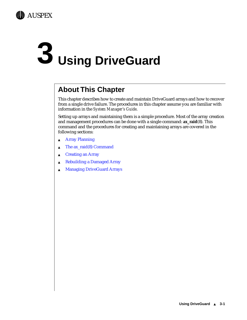<span id="page-30-0"></span>

## **3 Using DriveGuard**

## **About This Chapter**

This chapter describes how to create and maintain DriveGuard arrays and how to recover from a single drive failure. The procedures in this chapter assume you are familiar with information in the *System Manager's Guide*.

Setting up arrays and maintaining them is a simple procedure. Most of the array creation and management procedures can be done with a single command: **ax\_raid**(8). This command and the procedures for creating and maintaining arrays are covered in the following sections:

- ▲ [Array Planning](#page-31-0)
- $\triangle$  [The ax\\_raid\(8\) Command](#page-32-0)
- ▲ [Creating an Array](#page-33-0)
- ▲ [Rebuilding a Damaged Array](#page-37-0)
- ▲ [Managing DriveGuard Arrays](#page-39-0)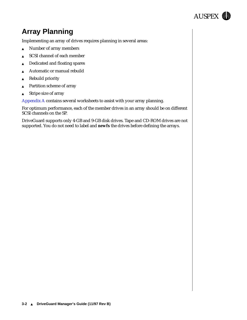

## <span id="page-31-0"></span>**Array Planning**

Implementing an array of drives requires planning in several areas:

- ▲ Number of array members
- ▲ SCSI channel of each member
- ▲ Dedicated and floating spares
- Automatic or manual rebuild
- ▲ Rebuild priority
- Partition scheme of array
- ▲ Stripe size of array

[Appendix A](#page-52-0) contains several worksheets to assist with your array planning.

For optimum performance, each of the member drives in an array should be on different SCSI channels on the SP.

DriveGuard supports only 4-GB and 9-GB disk drives. Tape and CD-ROM drives are not supported. You do not need to label and **newfs** the drives before defining the arrays.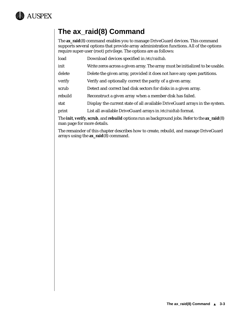<span id="page-32-0"></span>

## **The ax\_raid(8) Command**

The **ax\_raid**(8) command enables you to manage DriveGuard devices. This command supports several options that provide array administration functions. All of the options require super-user (root) privilege. The options are as follows:

- load Download devices specified in */etc/raidtab*.
- init Write zeros across a given array. The array must be initialized to be usable.
- delete Delete the given array, provided it does not have any open partitions.
- verify verify and optionally correct the parity of a given array.
- scrub Detect and correct bad disk sectors for disks in a given array.
- rebuild Reconstruct a given array when a member disk has failed.
- stat Display the current state of all available DriveGuard arrays in the system.
- print List all available DriveGuard arrays in */etc/raidtab* format.

The **init**, **verify**, **scrub**, and **rebuild** options run as background jobs. Refer to the **ax\_raid**(8) man page for more details.

The remainder of this chapter describes how to create, rebuild, and manage DriveGuard arrays using the **ax\_raid**(8) command.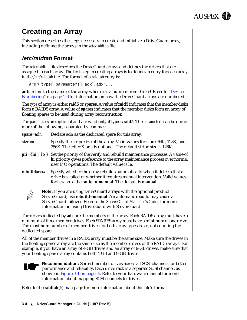

## <span id="page-33-0"></span>**Creating an Array**

This section describes the steps necessary to create and initialize a DriveGuard array, including defining the arrays in the */etc/raidtab* file.

#### **/etc/raidtab Format**

The */etc/raidtab* file describes the DriveGuard arrays and defines the drives that are assigned to each array. The first step in creating arrays is to define an entry for each array in the */etc/raidtab* file. The format of a *raidtab* entry is:

```
ardn type[, parameters] \text{adx}^{1}, \text{adx}^{2},...
```
**ard***n* refers to the name of the array where *n* is a number from 0 to 69. Refer to ["Device](#page-15-0)  [Numbering"](#page-15-0) on [page 1-6](#page-15-0) for information on how the DriveGuard arrays are numbered.

The *type* of array is either **raid5** or **spares**. A value of **raid5** indicates that the member disks form a RAID5 array. A value of **spares** indicates that the member disks form an array of floating spares to be used during array reconstruction.

The *parameters* are optional and are valid only if *type* is **raid5**. The *parameters* can be one or more of the following, separated by commas:

| spare=adn              | Declare adn as the dedicated spare for this array.                                                                                                                                                                |
|------------------------|-------------------------------------------------------------------------------------------------------------------------------------------------------------------------------------------------------------------|
| $size = n$             | Specify the stripe size of the array. Valid values for <i>n</i> are: 64K, 128K, and<br>256K. The letter K or k is optional. The default stripe size is 128K.                                                      |
| $pri=\{ hi \mid lo \}$ | Set the priority of the verify and rebuild maintenance processes. A value of<br>hi priority gives preference to the array maintenance process over normal<br>user $I/O$ operations. The default value is $I$ o.   |
| rebuild=how            | Specify whether the array rebuilds automatically when it detects that a<br>drive has failed or whether it requires manual intervention. Valid values<br>for how are either auto or manual. The default is manual. |
|                        | Note: If you are using DriveGuard arrays with the optional product<br>ServerGuard, use rebuild=manual. An automatic rebuild may cause a                                                                           |

ServerGuard, use **rebuild=manual**. An automatic rebuild may cause a ServerGuard failover. Refer to the *ServerGuard Manager's Guide* for more information on using DriveGuard with ServerGuard.

The drives indicated by **ad***x* are the members of the array. Each RAID5 array must have a minimum of three member drives. Each SPARES array must have a minimum of one drive. The maximum number of member drives for both array types is six, not counting the dedicated spare.

All of the member drives in a RAID5 array must be the same size. Make sure the drives in the floating spares array are the same size as the member drives of the RAID5 arrays. For example, if you have an array of 4-GB drives and an array of 9-GB drives, make sure that your floating spares array contains both 4-GB and 9-GB drives.



**Recommendation:** Spread member drives across all SCSI channels for better performance and reliability. Each drive rack is a separate SCSI channel, as shown in [Figure 3-1 on page -5.](#page-34-0) Refer to your hardware manual for more information about mapping SCSI channels to drives.

Refer to the **raidtab**(5) man page for more information about this file's format.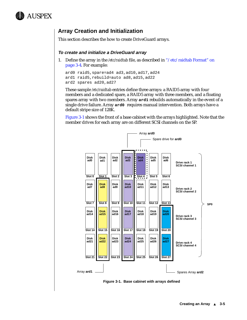<span id="page-34-0"></span>

#### **Array Creation and Initialization**

This section describes the how to create DriveGuard arrays.

#### **To create and initialize a DriveGuard array**

1. Define the array in the */etc/raidtab* file, as described in ["/etc/raidtab Format" on](#page-33-0)  [page 3-4](#page-33-0). For example:

```
ard0 raid5,spare=ad4 ad3,ad10,ad17,ad24
ard1 raid5,rebuild=auto ad8,ad15,ad22
ard2 spares ad20,ad27
```
These sample */etc/raidtab* entries define three arrays: a RAID5 array with four members and a dedicated spare, a RAID5 array with three members, and a floating spares array with two members. Array **ard1** rebuilds automatically in the event of a single drive failure. Array **ard0** requires manual intervention. Both arrays have a default stripe size of 128K.

Figure 3-1 shows the front of a base cabinet with the arrays highlighted. Note that the member drives for each array are on different SCSI channels on the SP.



**Figure 3-1. Base cabinet with arrays defined**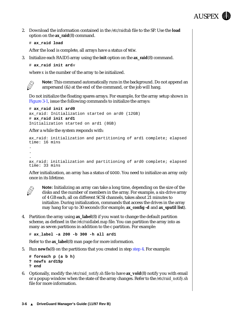

2. Download the information contained in the */etc/raidtab* file to the SP. Use the **load** option on the **ax\_raid**(8) command.

```
# ax_raid load
```
After the load is complete, all arrays have a status of NEW.

3. Initialize each RAID5 array using the **init** option on the **ax\_raid**(8) command.

```
# ax_raid init ardx
```
where *x* is the number of the array to be initialized.



**Note:** This command automatically runs in the background. Do not append an ampersand  $(\&)$  at the end of the command, or the job will hang.

Do not initialize the floating spares arrays. For example, for the array setup shown in [Figure 3-1,](#page-34-0) issue the following commands to initialize the arrays:

```
# ax_raid init ard0
ax_raid: Initialization started on ard0 (12GB)
# ax_raid init ard1
Initialization started on ard1 (8GB)
```
#### After a while the system responds with:

```
ax_raid: initialization and partitioning of ard1 complete; elapsed 
time: 16 mins
.
.
.
ax_raid: initialization and partitioning of ard0 complete; elapsed 
time: 33 mins
```
After initialization, an array has a status of GOOD. You need to initialize an array only once in its lifetime.



**Note:** Initializing an array can take a long time, depending on the size of the disks and the number of members in the array. For example, a six-drive array of 4 GB each, all on different SCSI channels, takes about 21 minutes to initialize. During initialization, commands that access the drives in the array may hang for up to 30 seconds (for example, **ax\_config -d** and **ax\_sputil list**).

4. Partition the array using **ax\_label**(8) if you want to change the default partition scheme, as defined in the */etc/raidlabel.map* file. You can partition the array into as many as seven partitions in addition to the c partition. For example:

# **ax\_label -a 200 -b 300 -h all ard1**

Refer to the **ax\_label**(8) man page for more information.

5. Run **newfs**(8) on the partitions that you created in step step 4. For example:

```
# foreach p (a b h)
? newfs ard1$p
? end
```
6. Optionally, modify the */etc/raid\_notify.sh* file to have **ax\_vold**(8) notify you with email or a popup window when the state of the array changes. Refer to the */etc/raid\_notify.sh* file for more information.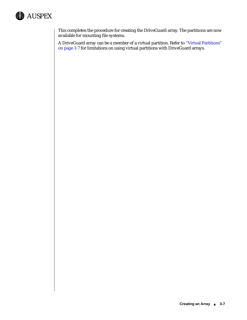

This completes the procedure for creating the DriveGuard array. The partitions are now available for mounting file systems.

A DriveGuard array can be a member of a virtual partition. Refer to ["Virtual Partitions"](#page-16-0)  [on page 1-7](#page-16-0) for limitations on using virtual partitions with DriveGuard arrays.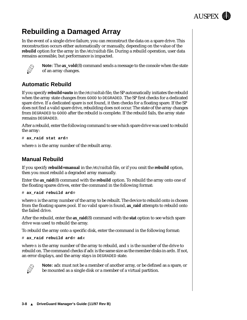

## <span id="page-37-0"></span>**Rebuilding a Damaged Array**

In the event of a single drive failure, you can reconstruct the data on a spare drive. This reconstruction occurs either automatically or manually, depending on the value of the **rebuild** option for the array in the */etc/raidtab* file. During a rebuild operation, user data remains accessible, but performance is impacted.



**Note:** The **ax\_vold**(8) command sends a message to the console when the state of an array changes.

#### **Automatic Rebuild**

If you specify **rebuild=auto** in the */etc/raidtab* file, the SP automatically initiates the rebuild when the array state changes from GOOD to DEGRADED. The SP first checks for a dedicated spare drive. If a dedicated spare is not found, it then checks for a floating spare. If the SP does not find a valid spare drive, rebuilding does not occur. The state of the array changes from DEGRADED to GOOD after the rebuild is complete. If the rebuild fails, the array state remains DEGRADED.

After a rebuild, enter the following command to see which spare drive was used to rebuild the array:

# **ax\_raid stat ard**<sup>n</sup>

where *n* is the array number of the rebuilt array.

#### **Manual Rebuild**

If you specify **rebuild=manual** in the */etc/raidtab* file, or if you omit the **rebuild** option, then you must rebuild a degraded array manually.

Enter the **ax\_raid**(8) command with the **rebuild** option. To rebuild the array onto one of the floating spares drives, enter the command in the following format:

# **ax\_raid rebuild ard**<sup>n</sup>

where *n* is the array number of the array to be rebuilt. The device to rebuild onto is chosen from the floating spares pool. If no valid spare is found, **ax\_raid** attempts to rebuild onto the failed drive.

After the rebuild, enter the **ax\_raid**(8) command with the **stat** option to see which spare drive was used to rebuild the array.

To rebuild the array onto a specific disk, enter the command in the following format:

# **ax\_raid rebuild ard**<sup>n</sup> **ad**<sup>x</sup>

where *n* is the array number of the array to rebuild, and *x* is the number of the drive to rebuild on. The command checks if ad*x* is the same size as the member disks in ard*n*. If not, an error displays, and the array stays in DEGRADED state.



**Note:** ad*x* must not be a member of another array, or be defined as a spare, or be mounted as a single disk or a member of a virtual partition.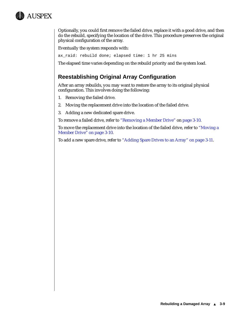<span id="page-38-0"></span>

Optionally, you could first remove the failed drive, replace it with a good drive, and then do the rebuild, specifying the location of the drive. This procedure preserves the original physical configuration of the array.

Eventually the system responds with:

ax\_raid: rebuild done; elapsed time: 1 hr 25 mins

The elapsed time varies depending on the rebuild priority and the system load.

#### **Reestablishing Original Array Configuration**

After an array rebuilds, you may want to restore the array to its original physical configuration. This involves doing the following:

- 1. Removing the failed drive.
- 2. Moving the replacement drive into the location of the failed drive.
- 3. Adding a new dedicated spare drive.

To remove a failed drive, refer to ["Removing a Member Drive"](#page-39-0) on [page 3-10.](#page-39-0)

To move the replacement drive into the location of the failed drive, refer to ["Moving a](#page-39-0)  [Member Drive" on page 3-10.](#page-39-0)

To add a new spare drive, refer to ["Adding Spare Drives to an Array" on page 3-11.](#page-40-0)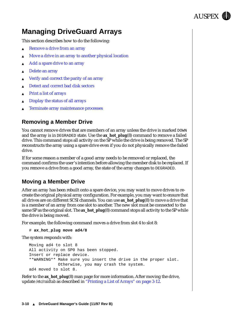

## <span id="page-39-0"></span>**Managing DriveGuard Arrays**

This section describes how to do the following:

- Remove a drive from an array
- Move a drive in an array to another physical location
- [Add a spare drive to an array](#page-40-0)
- [Delete an array](#page-40-0)
- [Verify and correct the parity of an array](#page-41-0)
- [Detect and correct bad disk sectors](#page-41-0)
- **[Print a list of arrays](#page-41-0)**
- [Display the status of all arrays](#page-42-0)
- [Terminate array maintenance processes](#page-42-0)

#### **Removing a Member Drive**

You cannot remove drives that are members of an array unless the drive is marked DOWN and the array is in DEGRADED state. Use the **ax\_hot\_plug**(8) command to remove a failed drive. This command stops all activity on the SP while the drive is being removed. The SP reconstructs the array using a spare drive even if you do not physically remove the failed drive.

If for some reason a member of a good array needs to be removed or replaced, the command confirms the user's intention before allowing the member disk to be replaced. If you remove a drive from a good array, the state of the array changes to DEGRADED.

#### **Moving a Member Drive**

After an array has been rebuilt onto a spare device, you may want to move drives to recreate the original physical array configuration. For example, you may want to ensure that all drives are on different SCSI channels. You can use **ax\_hot\_plug**(8) to move a drive that is a member of an array from one slot to another. The new slot must be connected to the same SP as the original slot. The **ax\_hot\_plug**(8) command stops all activity to the SP while the drive is being moved.

For example, the following command moves a drive from slot 4 to slot 8:

# **ax\_hot\_plug move ad4/8**

The system responds with:

```
Moving ad4 to slot 8
All activity on SP0 has been stopped.
Insert or replace device.
**WARNING** Make sure you insert the drive in the proper slot.
            Otherwise, you may crash the system.
ad4 moved to slot 8.
```
Refer to the **ax\_hot\_plug**(8) man page for more information. After moving the drive, update */etc/raidtab* as described in ["Printing a List of Arrays" on page 3-12.](#page-41-0)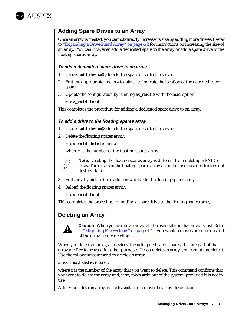<span id="page-40-0"></span>

#### **Adding Spare Drives to an Array**

Once an array is created, you cannot directly increase its size by adding more drives. (Refer to ["Expanding a DriveGuard Array" on page 4-2](#page-45-0) for instructions on increasing the size of an array.) You can, however, add a dedicated spare to the array or add a spare drive to the floating spares array.

#### **To add a dedicated spare drive to an array**

- 1. Use **ax\_add\_device**(8) to add the spare drive to the server.
- 2. Edit the appropriate line in */etc/raidtab* to indicate the location of the new dedicated spare.
- 3. Update the configuration by running **ax\_raid**(8) with the **load** option:
	- # **ax\_raid load**

This completes the procedure for adding a dedicated spare drive to an array.

#### **To add a drive to the floating spares array**

- 1. Use **ax\_add\_device**(8) to add the spare drive to the server.
- 2. Delete the floating spares array:

# **ax\_raid delete ard**<sup>x</sup>

where *x* is the number of the floating spares array.



**Note:** Deleting the floating spares array is different from deleting a RAID5 array. The drives in the floating spares array are not in use, so a delete does not destroy data.

- 3. Edit the */etc/raidtab* file to add a new drive to the floating spares array.
- 4. Reload the floating spares array:

# **ax\_raid load**

This completes the procedure for adding a spare drive to the floating spares array.

#### **Deleting an Array**



**Caution:** When you delete an array, all the user data on that array is lost. Refer to ["Migrating File Systems" on page 4-4](#page-47-0) if you want to move your user data off of the array before deleting it.

When you delete an array, all devices, including dedicated spares, that are part of that array are free to be used for other purposes. If you delete an array, you cannot undelete it. Use the following command to delete an array:

#### # **ax\_raid delete ard**<sup>x</sup>

where *x* is the number of the array that you want to delete. This command confirms that you want to delete the array and, if so, takes **ard***x* out of the system, provided it is not in use.

After you delete an array, edit */etc/raidtab* to remove the array description.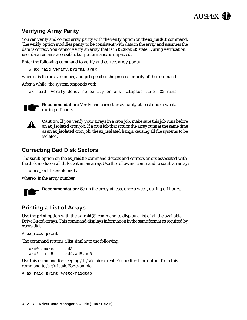

#### <span id="page-41-0"></span>**Verifying Array Parity**

You can verify and correct array parity with the **verify** option on the **ax\_raid**(8) command. The **verify** option modifies parity to be consistent with data in the array and assumes the data is correct. You cannot verify an array that is in DEGRADED state. During verification, user data remains accessible, but performance is impacted.

Enter the following command to verify and correct array parity:

# **ax\_raid verify,pri=hi ard**<sup>x</sup>

where *x* is the array number, and **pri** specifies the process priority of the command.

After a while, the system responds with:

```
ax raid: Verify done; no parity errors; elapsed time: 32 mins
```


**Recommendation:** Verify and correct array parity at least once a week, during off hours.



**Caution:** If you verify your arrays in a cron job, make sure this job runs before an **ax\_isolated** cron job. If a cron job that scrubs the array runs at the same time as an **ax\_isolated** cron job, the **ax\_isolated** hangs, causing all file systems to be isolated.

#### **Correcting Bad Disk Sectors**

The **scrub** option on the **ax\_raid**(8) command detects and corrects errors associated with the disk media on all disks within an array. Use the following command to scrub an array:

```
# ax_raid scrub ardx
```
where *x* is the array number.



**Recommendation:** Scrub the array at least once a week, during off hours.

#### **Printing a List of Arrays**

Use the **print** option with the **ax\_raid**(8) command to display a list of all the available DriveGuard arrays. This command displays information in the same format as required by */etc/raidtab*:

```
# ax_raid print
```
The command returns a list similar to the following:

ard0 spares ad3 ard2 raid5 ad4,ad5,ad6

Use this command for keeping */etc/raidtab* current. You redirect the output from this command to */etc/raidtab*. For example:

# **ax\_raid print >/etc/raidtab**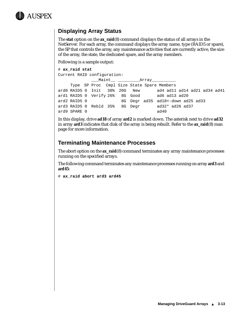<span id="page-42-0"></span>

#### **Displaying Array Status**

The **stat** option on the **ax\_raid**(8) command displays the status of all arrays in the NetServer. For each array, the command displays the array name, type (RAID5 or spare), the SP that controls the array, any maintenance activities that are currently active, the size of the array, the state, the dedicated spare, and the array members.

Following is a sample output:

```
# ax_raid stat
Current RAID configuration:
```
\_\_\_Maint\_\_ \_\_\_\_\_\_\_\_\_Array\_\_\_\_\_\_\_\_\_\_ Type SP Proc Cmpl Size State Spare Members ard0 RAID5 0 Init 30% 20G New ad4 ad11 ad14 ad21 ad34 ad41 ard1 RAID5 0 Verify 26% 8G Good ad6 ad13 ad20 ard2 RAID5 0 8G Degr ad35 ad18<-down ad25 ad33 ard3 RAID5 0 Rebld 35% 8G Degr ad32\* ad26 ad37 ard9 SPARE 0 ad40

In this display, drive **ad18** of array **ard2** is marked down. The asterisk next to drive **ad32** in array **ard3** indicates that disk of the array is being rebuilt. Refer to the **ax\_raid**(8) man page for more information.

#### **Terminating Maintenance Processes**

The abort option on the **ax\_raid**(8) command terminates any array maintenance processes running on the specified arrays.

The following command terminates any maintenance processes running on array **ard3** and **ard45**:

# **ax\_raid abort ard3 ard45**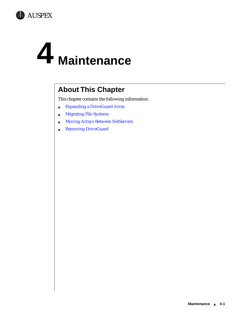<span id="page-44-0"></span>

## **4 Maintenance**

## **About This Chapter**

This chapter contains the following information:

- ▲ [Expanding a DriveGuard Array](#page-45-0)
- ▲ [Migrating File Systems](#page-47-0)
- ▲ [Moving Arrays Between NetServers](#page-49-0)
- ▲ [Removing DriveGuard](#page-50-0)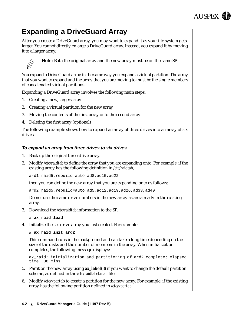## **AUSPEX**

## <span id="page-45-0"></span>**Expanding a DriveGuard Array**

After you create a DriveGuard array, you may want to expand it as your file system gets larger. You cannot directly enlarge a DriveGuard array. Instead, you expand it by moving it to a larger array.



**Note:** Both the original array and the new array must be on the same SP.

You expand a DriveGuard array in the same way you expand a virtual partition. The array that you want to expand and the array that you are moving to must be the single members of concatenated virtual partitions.

Expanding a DriveGuard array involves the following main steps:

- 1. Creating a new, larger array
- 2. Creating a virtual partition for the new array
- 3. Moving the contents of the first array onto the second array
- 4. Deleting the first array (optional)

The following example shows how to expand an array of three drives into an array of six drives.

#### **To expand an array from three drives to six drives**

- 1. Back up the original three-drive array.
- 2. Modify */etc/raidtab* to define the array that you are expanding onto. For example, if the existing array has the following definition in */etc/raidtab*,

ard1 raid5,rebuild=auto ad8,ad15,ad22

then you can define the new array that you are expanding onto as follows:

ard2 raid5,rebuild=auto ad5,ad12,ad19,ad26,ad33,ad40

Do not use the same drive numbers in the new array as are already in the existing array.

3. Download the */etc/raidtab* information to the SP.

# **ax\_raid load**

4. Initialize the six-drive array you just created. For example:

# **ax\_raid init ard2**

This command runs in the background and can take a long time depending on the size of the disks and the number of members in the array. When initialization completes, the following message displays:

```
ax_raid: initialization and partitioning of ard2 complete; elapsed 
time: 38 mins
```
- 5. Partition the new array using **ax\_label**(8) if you want to change the default partition scheme, as defined in the */etc/raidlabel.map* file.
- 6. Modify */etc/vparta*b to create a partition for the new array. For example, if the existing array has the following partition defined in */etc/vpartab*: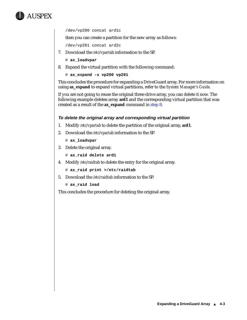

/dev/vp200 concat ard1c

then you can create a partition for the new array as follows:

/dev/vp201 concat ard2c

- 7. Download the */etc/vparta*b information to the SP.
	- # **ax\_loadvpar**
- 8. Expand the virtual partition with the following command:

```
# ax_expand -s vp200 vp201
```
This concludes the procedure for expanding a DriveGuard array. For more information on using **ax\_expand** to expand virtual partitions, refer to the *System Manager's Guide*.

If you are not going to reuse the original three-drive array, you can delete it now. The following example deletes array **ard1** and the corresponding virtual partition that was created as a result of the **ax\_expand** command in step 8.

#### **To delete the original array and corresponding virtual partition**

- 1. Modify */etc/vpartab* to delete the partition of the original array, **ard1**.
- 2. Download the */etc/vpartab* information to the SP.
	- # **ax\_loadvpar**
- 3. Delete the original array.
	- # **ax\_raid delete ard1**
- 4. Modify */etc/raidtab* to delete the entry for the original array.
	- # **ax\_raid print >/etc/raidtab**
- 5. Download the */etc/raidtab* information to the SP.
	- # **ax\_raid load**

This concludes the procedure for deleting the original array.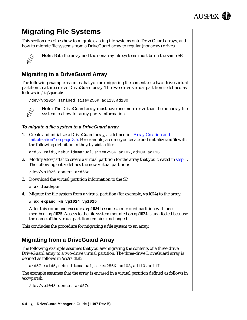## **AUSPEX**

## <span id="page-47-0"></span>**Migrating File Systems**

This section describes how to migrate existing file systems onto DriveGuard arrays, and how to migrate file systems from a DriveGuard array to regular (nonarray) drives.



**Note:** Both the array and the nonarray file systems must be on the same SP.

#### **Migrating to a DriveGuard Array**

The following example assumes that you are migrating the contents of a two-drive virtual partition to a three-drive DriveGuard array. The two-drive virtual partition is defined as follows in */etc/vpartab*:

```
/dev/vp1024 striped,size=256K ad123,ad130
```


**Note:** The DriveGuard array must have one more drive than the nonarray file system to allow for array parity information.

#### **To migrate a file system to a DriveGuard array**

1. Create and initialize a DriveGuard array, as defined in ["Array Creation and](#page-34-0)  [Initialization" on page 3-5.](#page-34-0) For example, assume you create and initialize **ard56** with the following definition in the */etc/raidtab* file:

ard56 raid5,rebuild=manual,size=256K ad102,ad109,ad116

2. Modify */etc/vpartab* to create a virtual partition for the array that you created in step 1. The following entry defines the new virtual partition:

/dev/vp1025 concat ard56c

3. Download the virtual partition information to the SP.

```
# ax_loadvpar
```
4. Migrate the file system from a virtual partition (for example, **vp1024**) to the array.

```
# ax_expand -m vp1024 vp1025
```
After this command executes, **vp1024** becomes a mirrored partition with one member—**vp1025**. Access to the file system mounted on **vp1024** is unaffected because the name of the virtual partition remains unchanged.

This concludes the procedure for migrating a file system to an array.

#### **Migrating from a DriveGuard Array**

The following example assumes that you are migrating the contents of a three-drive DriveGuard array to a two-drive virtual partition. The three-drive DriveGuard array is defined as follows in */etc/raidtab*:

ard57 raid5,rebuild=manual,size=256K ad103,ad110,ad117

The example assumes that the array is encased in a virtual partition defined as follows in */etc/vpartab*:

```
/dev/vp1048 concat ard57c
```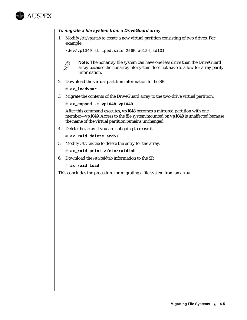

#### **To migrate a file system from a DriveGuard array**

1. Modify */etc/vpartab* to create a new virtual partition consisting of two drives. For example:

/dev/vp1049 striped,size=256K ad124,ad131



**Note:** The nonarray file system can have one less drive than the DriveGuard array because the nonarray file system does not have to allow for array parity information.

- 2. Download the virtual partition information to the SP.
	- # **ax\_loadvpar**
- 3. Migrate the contents of the DriveGuard array to the two-drive virtual partition.

```
# ax_expand -m vp1048 vp1049
```
After this command executes, **vp1048** becomes a mirrored partition with one member—**vp1049**. Access to the file system mounted on **vp1048** is unaffected because the name of the virtual partition remains unchanged.

4. Delete the array if you are not going to reuse it.

```
# ax_raid delete ard57
```
5. Modify */etc/raidtab* to delete the entry for the array.

# **ax\_raid print >/etc/raidtab**

6. Download the */etc/raidtab* information to the SP.

# **ax\_raid load**

This concludes the procedure for migrating a file system from an array.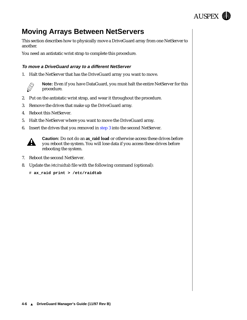

## <span id="page-49-0"></span>**Moving Arrays Between NetServers**

This section describes how to physically move a DriveGuard array from one NetServer to another.

You need an antistatic wrist strap to complete this procedure.

#### **To move a DriveGuard array to a different NetServer**

1. Halt the NetServer that has the DriveGuard array you want to move.



**Note:** Even if you have DataGuard, you must halt the entire NetServer for this procedure.

- 2. Put on the antistatic wrist strap, and wear it throughout the procedure.
- 3. Remove the drives that make up the DriveGuard array.
- 4. Reboot this NetServer.
- 5. Halt the NetServer where you want to move the DriveGuard array.
- 6. Insert the drives that you removed in step 3 into the second NetServer.



**Caution:** Do not do an **ax\_raid load** or otherwise access these drives before you reboot the system. You will lose data if you access these drives before rebooting the system.

- 7. Reboot the second NetServer.
- 8. Update the */etc/raidtab* file with the following command (optional):

# **ax\_raid print > /etc/raidtab**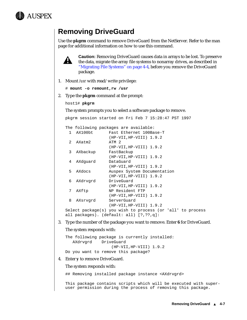<span id="page-50-0"></span>

## **Removing DriveGuard**

Use the **pkgrm** command to remove DriveGuard from the NetServer. Refer to the man page for additional information on how to use this command.



**Caution:** Removing DriveGuard causes data in arrays to be lost. To preserve the data, migrate the array file systems to nonarray drives, as described in ["Migrating File Systems" on page 4-4,](#page-47-0) before you remove the DriveGuard package.

1. Mount */usr* with read/write privilege:

```
# mount -o remount,rw /usr
```
2. Type the **pkgrm** command at the prompt:

```
host1# pkgrm
```
The system prompts you to select a software package to remove.

```
pkgrm session started on Fri Feb 7 15:28:47 PST 1997
```

```
The following packages are available:<br>1. AX100bt Fest Ethernet 100Ps
```

| $\mathbf{1}$  | AX100bt  | Fast Ethernet 100Base-T                                    |
|---------------|----------|------------------------------------------------------------|
|               |          | $(HP-VII, HP-VIII)$ 1.9.2                                  |
| $\mathcal{L}$ | AXatm2   | ATM 2                                                      |
|               |          | $(HP-VII, HP-VIII)$ 1.9.2                                  |
| 3             | AXbackup | FastBackup                                                 |
|               |          | $(HP-VII, HP-VIII)$ 1.9.2                                  |
| 4             | AXdquard | DataGuard                                                  |
|               |          | $(HP-VII, HP-VIII)$ 1.9.2                                  |
| 5.            | AXdocs   | Auspex System Documentation                                |
|               |          | $(HP-VII, HP-VIII)$ 1.9.2                                  |
| 6             | AXdrvqrd | DriveGuard                                                 |
|               |          | $(HP-VII, HP-VIII)$ 1.9.2                                  |
| 7             | AXftp    | NP Resident FTP                                            |
|               |          | $(HP-VII, HP-VIII)$ 1.9.2                                  |
| 8             | AXsrvqrd | ServerGuard                                                |
|               |          | $(HP-VII, HP-VIII)$ 1.9.2                                  |
|               |          | Select package(s) you wish to process (or 'all' to process |
|               |          | all packages). $(detault: all) [?, ??, q]:$                |

3. Type the number of the package you want to remove. Enter **6** for DriveGuard.

#### The system responds with:

```
The following package is currently installed:
   AXdrvgrd DriveGuard
                    (HP-VII,HP-VIII) 1.9.2
Do you want to remove this package?
```
#### 4. Enter **y** to remove DriveGuard.

#### The system responds with:

## Removing installed package instance <AXdrvgrd>

This package contains scripts which will be executed with superuser permission during the process of removing this package.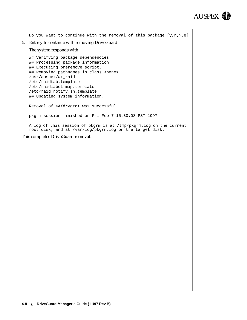

Do you want to continue with the removal of this package [y,n,?,q] 5. Enter **y** to continue with removing DriveGuard. The system responds with: ## Verifying package dependencies. ## Processing package information. ## Executing preremove script. ## Removing pathnames in class <none> /usr/auspex/ax\_raid /etc/raidtab.template /etc/raidlabel.map.template /etc/raid\_notify.sh.template ## Updating system information. Removal of <AXdrvgrd> was successful. pkgrm session finished on Fri Feb 7 15:30:08 PST 1997 A log of this session of pkgrm is at /tmp/pkgrm.log on the current root disk, and at /var/log/pkgrm.log on the target disk.

This completes DriveGuard removal.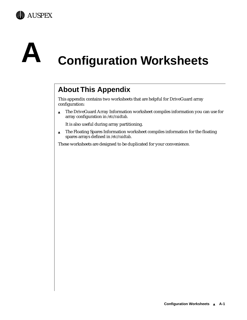<span id="page-52-0"></span>



## **A Configuration Worksheets**

## **About This Appendix**

This appendix contains two worksheets that are helpful for DriveGuard array configuration:

▲ The DriveGuard Array Information worksheet compiles information you can use for array configuration in */etc/raidtab*.

It is also useful during array partitioning.

▲ The Floating Spares Information worksheet compiles information for the floating spares arrays defined in */etc/raidtab*.

These worksheets are designed to be duplicated for your convenience.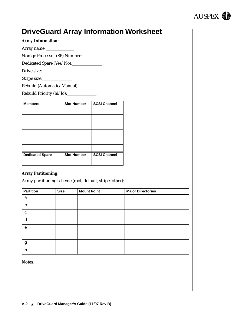

## <span id="page-53-0"></span>**DriveGuard Array Information Worksheet**

| <b>Array Information:</b> |  |
|---------------------------|--|
|---------------------------|--|

Array name: \_\_\_\_\_\_\_\_\_\_\_\_\_

Storage Processor (SP) Number: \_\_\_\_\_\_\_\_\_\_\_\_\_

Dedicated Spare (Yes/No):\_\_\_\_\_\_\_\_\_\_\_\_\_\_

Drive size:\_\_\_\_\_\_\_\_\_\_\_\_\_\_

Stripe size:

Rebuild (Automatic/Manual):\_\_\_\_\_\_\_\_\_\_\_\_\_\_\_

Rebuild Priority (hi/lo):\_\_\_\_\_\_\_\_\_\_\_\_\_\_

| <b>Members</b>         | <b>Slot Number</b> | <b>SCSI Channel</b> |
|------------------------|--------------------|---------------------|
|                        |                    |                     |
|                        |                    |                     |
|                        |                    |                     |
|                        |                    |                     |
|                        |                    |                     |
|                        |                    |                     |
| <b>Dedicated Spare</b> | <b>Slot Number</b> | <b>SCSI Channel</b> |
|                        |                    |                     |

#### **Array Partitioning**:

Array partitioning scheme (root, default, stripe, other): \_\_\_\_\_\_\_\_\_\_\_\_\_\_\_\_\_\_\_\_\_\_

| <b>Partition</b> | <b>Size</b> | <b>Mount Point</b> | <b>Major Directories</b> |
|------------------|-------------|--------------------|--------------------------|
| a                |             |                    |                          |
| h                |             |                    |                          |
| $\mathbf c$      |             |                    |                          |
| d                |             |                    |                          |
| e                |             |                    |                          |
|                  |             |                    |                          |
| g                |             |                    |                          |
| h                |             |                    |                          |

**Notes**: